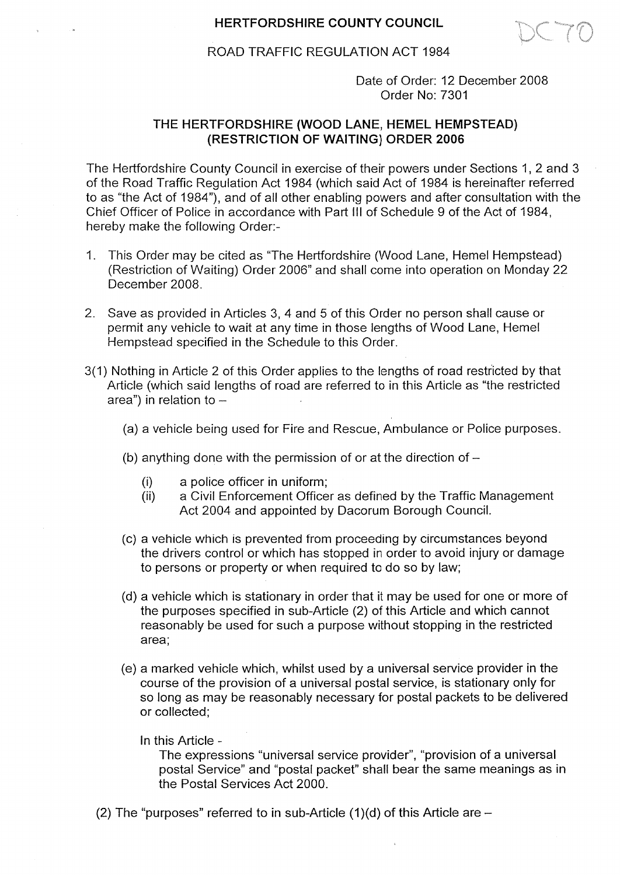#### **HERTFORDSHIRE COUNTY COUNCIL**



## ROAD TRAFFIC REGULATION ACT 1984

**Date of** Order: **12 December 2008** Order No: 7301

# **THE HERTFORDSHIRE (WOOD LANE, HEMEL HEMPSTEAD) (RESTRICTION OF WAITING) ORDER 2006**

The Hertfordshire County Council in exercise of their powers under Sections 1, 2 and 3 of the Road Traffic Regulation Act 1984 (which said Act of 1984 is hereinafter referred to as "the Act of 1984"), and of all other enabling powers and after consultation with the Chief Officer of Police in accordance with Part III of Schedule 9 of the Act of 1984, hereby make the following Order:-

- 1. This Order may be cited as "The Hertfordshire (Wood Lane, Hemel Hempstead) (Restriction of Waiting) Order 2006" and shall come into operation on Monday 22 December 2008.
- 2. Save as provided in Articles 3, 4 and 5 of this Order no person shall cause or permit any vehicle to wait at any time in those lengths of Wood Lane, Hemel Hempstead specified in the Schedule to this Order.
- 3(1) Nothing in Article 2 of this Order applies to the lengths of road restricted by that Article (which said lengths of road are referred to in this Article as "the restricted area") in relation to  $-$ 
	- (a) a vehicle being used for Fire and Rescue, Ambulance or Police purposes.
	- (b) anything done with the permission of or at the direction of  $-$ 
		- (i) a police officer in uniform;
		- (ii) a Civil Enforcement Officer as defined by the Traffic Management Act 2004 and appointed by Dacorum Borough Council.
	- (c) a vehicle which is prevented from proceeding by circumstances beyond the drivers control or which has stopped in order to avoid injury or damage to persons or property or when required to do so by law;
	- (d) a vehicle which is stationary in order that it may be used for one or more of the purposes specified in sub-Article (2) of this Article and which cannot reasonably be used for such a purpose without stopping in the restricted area;
	- (e) a marked vehicle which, whilst used by a universal service provider in the course of the provision of a universal postal service, is stationary only for so long as may be reasonably necessary for postal packets to be delivered or collected;

### In this Article -

 The expressions "universal service provider", "provision of a universal postal Service" and "postal packet" shall bear the same meanings as in the Postal Services Act 2000.

(2) The **"purposes" referred to in sub** -Article (1)(d) **of this Article are -**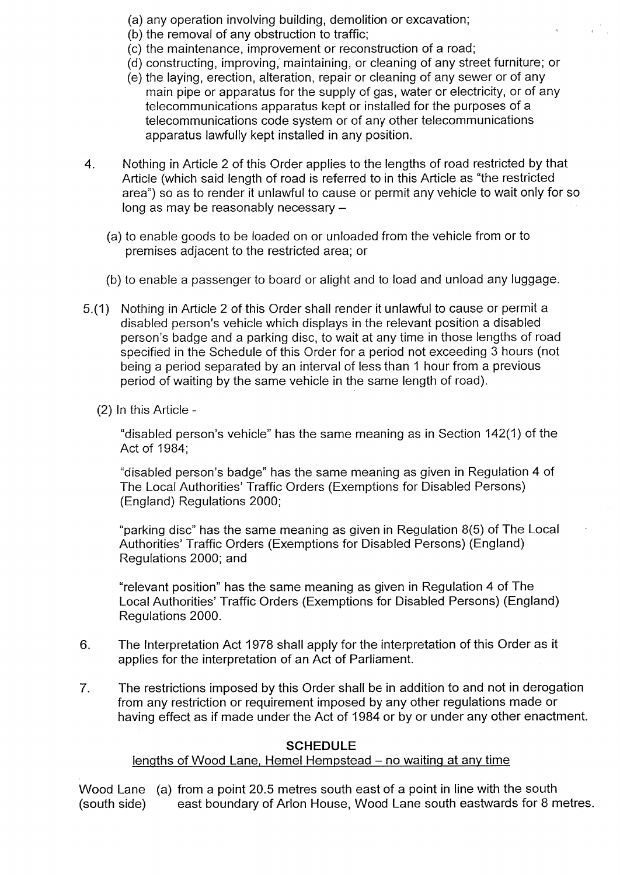- **(a) any operation involving building, demolition or excavation;**
- **(b) the removal of any obstruction to traffic;**
- **(c) the maintenance, improvement or reconstruction of a road;**
- **(d) constructing, improving; maintaining, or cleaning of any street furniture; or**
- **(e) the laying, erection, alteration, repair or cleaning of any sewer or of any main pipe or apparatus for the supply of gas, water or electricity, or of any telecommunications apparatus kept or installed for the purposes of a telecommunications code system or of any other telecommunications apparatus lawfully kept installed in any position.**
- **4. Nothing in Article 2 of this Order applies to the lengths of road restricted by that Article (which said length of road is referred to in this Article as "the restricted area") so as to render it unlawful to cause or permit any vehicle to wait only for so long as may be reasonably necessary -**
	- **(a) to enable goods to be loaded on or unloaded from the vehicle from or to premises adjacent to the restricted area; or**
	- **(b) to enable a passenger to board or alight and to load and unload any luggage.**
- **5.(1) Nothing in Article 2 of this Order shall render it unlawful to cause or permit a disabled person's vehicle which displays in the relevant position a disabled person's badge and a parking disc, to wait at any time in those lengths of road specified in the Schedule of this Order for a period not exceeding 3 hours (not being a period separated by an interval of less than 1 hour from a previous period of waiting by the same vehicle in the same length of road).**
	- (2) In this Article -

**"disabled person's vehicle" has the same meaning as** in Section 142(1) of the Act of 1984;

**"disabled person's badge" has the same meaning as given in Regulation 4 of** The Local Authorities' Traffic Orders **(Exemptions for Disabled Persons) (England) Regulations 2000;**

**"parking disc" has the same meaning as given in Regulation 8(5) of The Local Authorities' Traffic Orders (Exemptions for Disabled Persons) (England) Regulations 2000; and**

**"relevant position" has the same meaning as given in Regulation 4 of The Local Authorities' Traffic Orders (Exemptions for Disabled Persons) (England) Regulations 2000.**

- **6. The Interpretation Act 1978 shall apply for the interpretation of this Order as it applies for the interpretation of an Act of Parliament.**
- **7. The restrictions imposed by this Order shall be in addition to and not in derogation from any restriction or requirement imposed by any other regulations made or having effect as if made under the Act of 1984 or by or under any other enactment.**

## **SCHEDULE**

## lengths of Wood Lane, Hemel Hempstead - no waiting at any time

**Wood Lane (a) from a point 20.5 metres south east of a point in line with the south (south side) east boundary of Arlon House, Wood Lane south eastwards for 8 metres.**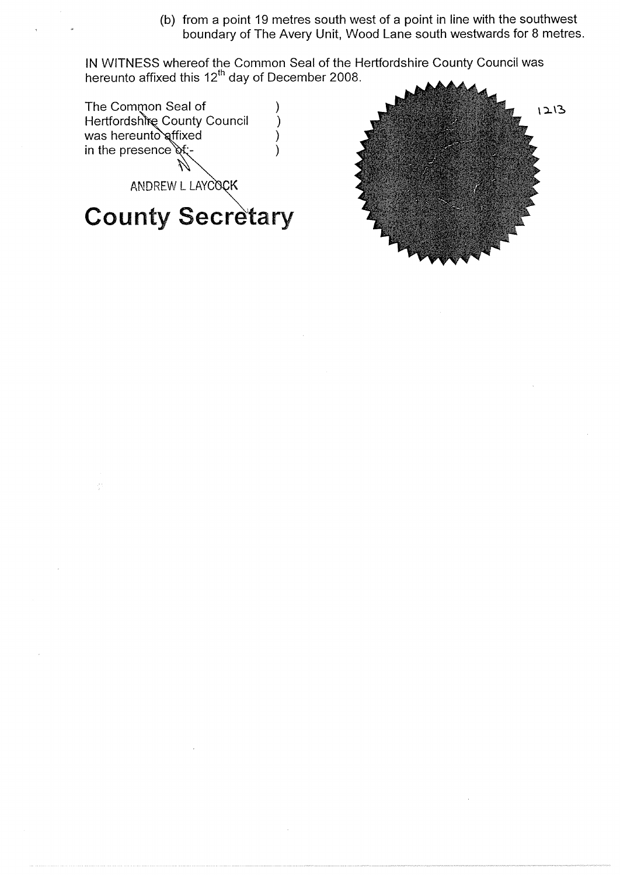(b) from a point 19 metres south west of a point in line with the southwest boundary of The Avery Unit, Wood Lane south westwards for 8 metres.

IN WITNESS whereof the Common Seal of the Hertfordshire County Council was hereunto affixed this 12<sup>th</sup> day of December 2008.

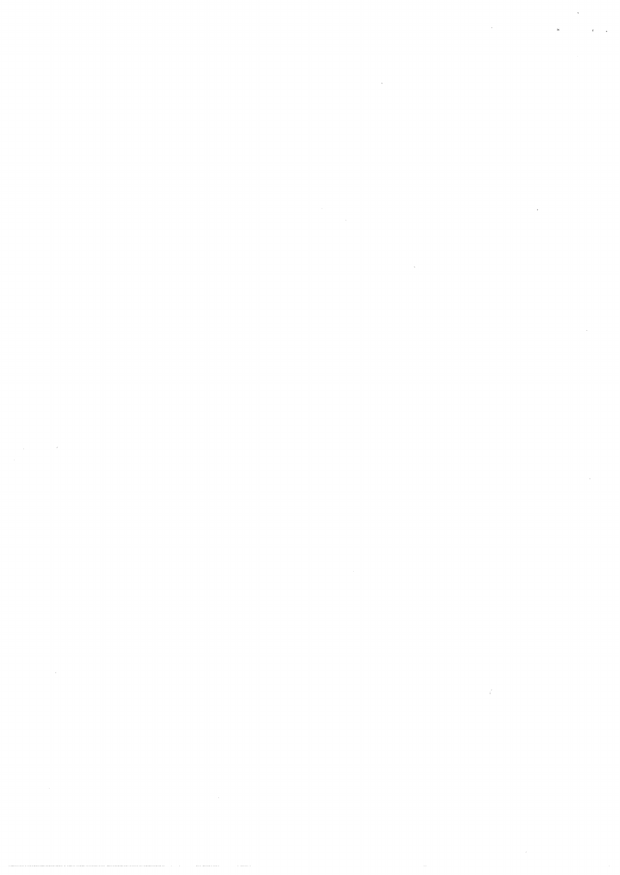$\label{eq:2.1} \begin{array}{l} \mathcal{L}_{\mathcal{A}}(\mathcal{A}) \rightarrow \mathcal{L}_{\mathcal{A}}(\mathcal{A}) \rightarrow \mathcal{L}_{\mathcal{A}}(\mathcal{A}) \rightarrow \mathcal{L}_{\mathcal{A}}(\mathcal{A}) \rightarrow \mathcal{L}_{\mathcal{A}}(\mathcal{A}) \rightarrow \mathcal{L}_{\mathcal{A}}(\mathcal{A}) \rightarrow \mathcal{L}_{\mathcal{A}}(\mathcal{A}) \rightarrow \mathcal{L}_{\mathcal{A}}(\mathcal{A}) \rightarrow \mathcal{L}_{\mathcal{A}}(\mathcal{A}) \rightarrow \mathcal{L}_{\mathcal{A}}(\mathcal{A}) \rightarrow \mathcal{$  $\label{eq:2.1} \mathcal{L}(\mathcal{L}^{\text{max}}_{\mathcal{L}}(\mathcal{L}^{\text{max}}_{\mathcal{L}}(\mathcal{L}^{\text{max}}_{\mathcal{L}}(\mathcal{L}^{\text{max}}_{\mathcal{L}^{\text{max}}_{\mathcal{L}}(\mathcal{L}^{\text{max}}_{\mathcal{L}^{\text{max}}_{\mathcal{L}^{\text{max}}_{\mathcal{L}^{\text{max}}_{\mathcal{L}^{\text{max}}_{\mathcal{L}^{\text{max}}_{\mathcal{L}^{\text{max}}_{\mathcal{L}^{\text{max}}_{\mathcal{L}^{\text{max}}$  $\label{eq:2.1} \mathcal{L}(\mathcal{L}^{\text{max}}_{\mathcal{L}}(\mathcal{L}^{\text{max}}_{\mathcal{L}})) \leq \mathcal{L}(\mathcal{L}^{\text{max}}_{\mathcal{L}}(\mathcal{L}^{\text{max}}_{\mathcal{L}}))$  $\label{eq:2.1} \frac{1}{\sqrt{2}}\sum_{i=1}^n\frac{1}{\sqrt{2}}\sum_{i=1}^n\frac{1}{\sqrt{2}}\sum_{i=1}^n\frac{1}{\sqrt{2}}\sum_{i=1}^n\frac{1}{\sqrt{2}}\sum_{i=1}^n\frac{1}{\sqrt{2}}\sum_{i=1}^n\frac{1}{\sqrt{2}}\sum_{i=1}^n\frac{1}{\sqrt{2}}\sum_{i=1}^n\frac{1}{\sqrt{2}}\sum_{i=1}^n\frac{1}{\sqrt{2}}\sum_{i=1}^n\frac{1}{\sqrt{2}}\sum_{i=1}^n\frac$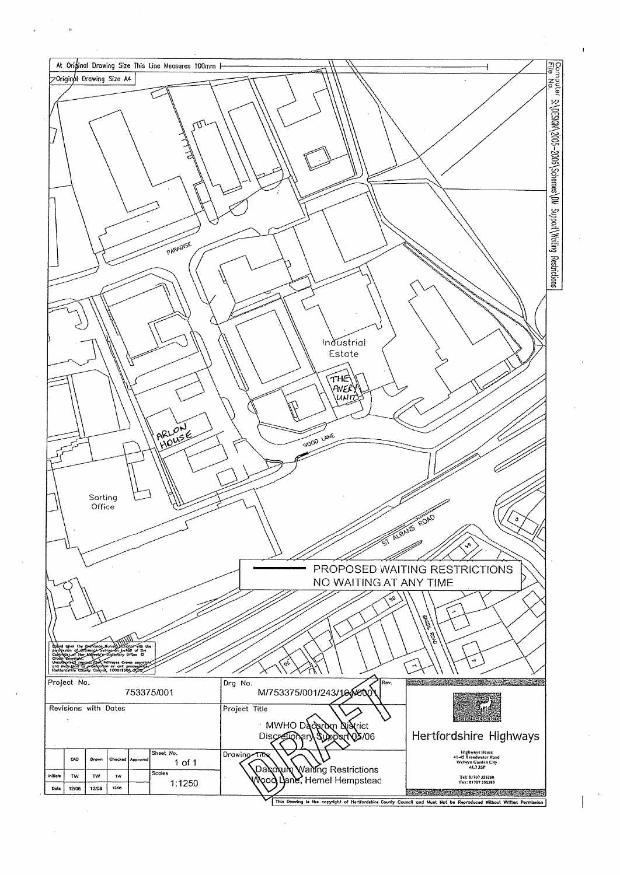